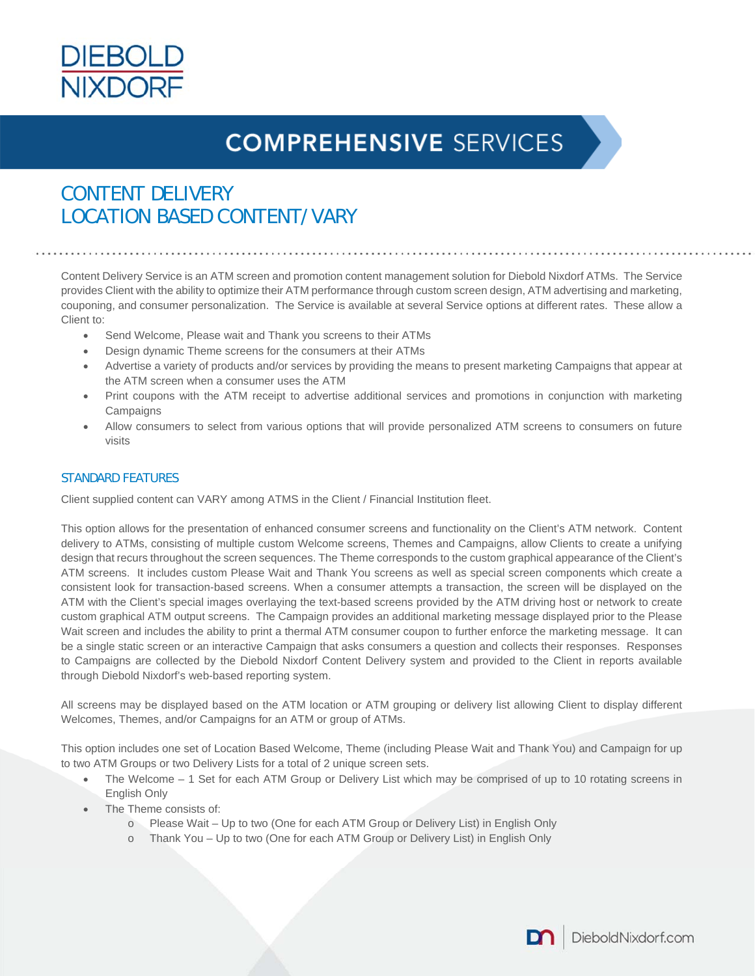

### CONTENT DELIVERY LOCATION BASED CONTENT/VARY

Content Delivery Service is an ATM screen and promotion content management solution for Diebold Nixdorf ATMs. The Service provides Client with the ability to optimize their ATM performance through custom screen design, ATM advertising and marketing, couponing, and consumer personalization. The Service is available at several Service options at different rates. These allow a Client to:

- Send Welcome, Please wait and Thank you screens to their ATMs
- Design dynamic Theme screens for the consumers at their ATMs
- Advertise a variety of products and/or services by providing the means to present marketing Campaigns that appear at the ATM screen when a consumer uses the ATM
- Print coupons with the ATM receipt to advertise additional services and promotions in conjunction with marketing **Campaigns**
- Allow consumers to select from various options that will provide personalized ATM screens to consumers on future visits

### STANDARD FEATURES

Client supplied content can VARY among ATMS in the Client / Financial Institution fleet.

This option allows for the presentation of enhanced consumer screens and functionality on the Client's ATM network. Content delivery to ATMs, consisting of multiple custom Welcome screens, Themes and Campaigns, allow Clients to create a unifying design that recurs throughout the screen sequences. The Theme corresponds to the custom graphical appearance of the Client's ATM screens. It includes custom Please Wait and Thank You screens as well as special screen components which create a consistent look for transaction-based screens. When a consumer attempts a transaction, the screen will be displayed on the ATM with the Client's special images overlaying the text-based screens provided by the ATM driving host or network to create custom graphical ATM output screens. The Campaign provides an additional marketing message displayed prior to the Please Wait screen and includes the ability to print a thermal ATM consumer coupon to further enforce the marketing message. It can be a single static screen or an interactive Campaign that asks consumers a question and collects their responses. Responses to Campaigns are collected by the Diebold Nixdorf Content Delivery system and provided to the Client in reports available through Diebold Nixdorf's web-based reporting system.

All screens may be displayed based on the ATM location or ATM grouping or delivery list allowing Client to display different Welcomes, Themes, and/or Campaigns for an ATM or group of ATMs.

This option includes one set of Location Based Welcome, Theme (including Please Wait and Thank You) and Campaign for up to two ATM Groups or two Delivery Lists for a total of 2 unique screen sets.

- The Welcome 1 Set for each ATM Group or Delivery List which may be comprised of up to 10 rotating screens in English Only
- The Theme consists of:
	- o Please Wait Up to two (One for each ATM Group or Delivery List) in English Only
	- o Thank You Up to two (One for each ATM Group or Delivery List) in English Only

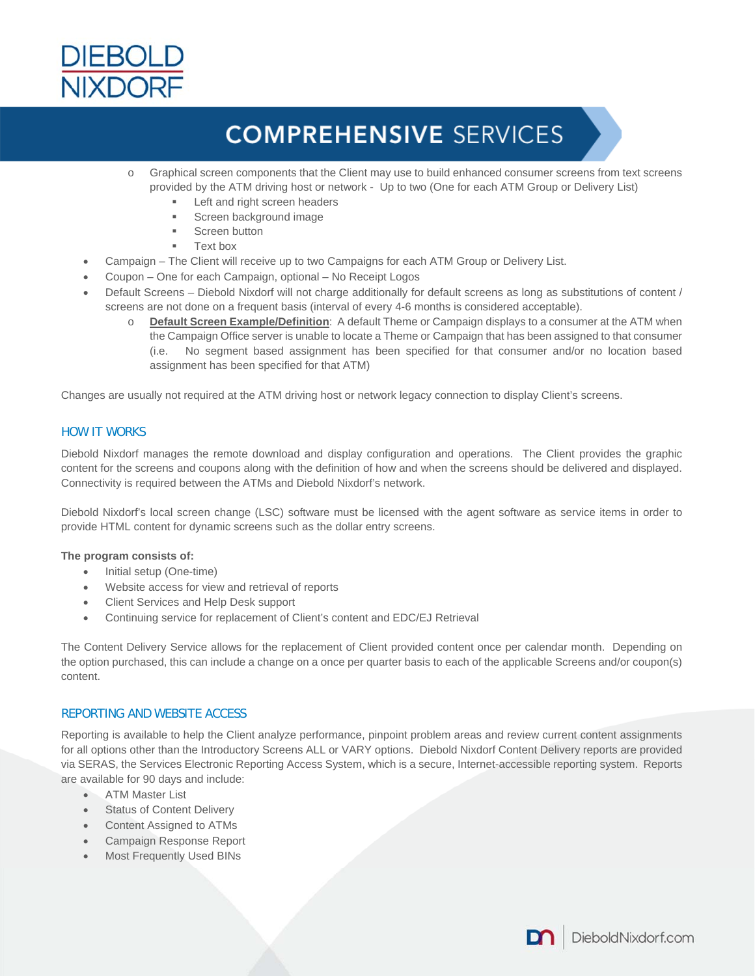

- o Graphical screen components that the Client may use to build enhanced consumer screens from text screens provided by the ATM driving host or network - Up to two (One for each ATM Group or Delivery List)
	- Left and right screen headers
	- Screen background image
	- Screen button
	- Text box
- Campaign The Client will receive up to two Campaigns for each ATM Group or Delivery List.
- Coupon One for each Campaign, optional No Receipt Logos
- Default Screens Diebold Nixdorf will not charge additionally for default screens as long as substitutions of content / screens are not done on a frequent basis (interval of every 4-6 months is considered acceptable).
	- o **Default Screen Example/Definition**: A default Theme or Campaign displays to a consumer at the ATM when the Campaign Office server is unable to locate a Theme or Campaign that has been assigned to that consumer (i.e. No segment based assignment has been specified for that consumer and/or no location based assignment has been specified for that ATM)

Changes are usually not required at the ATM driving host or network legacy connection to display Client's screens.

#### HOW IT WORKS

Diebold Nixdorf manages the remote download and display configuration and operations. The Client provides the graphic content for the screens and coupons along with the definition of how and when the screens should be delivered and displayed. Connectivity is required between the ATMs and Diebold Nixdorf's network.

Diebold Nixdorf's local screen change (LSC) software must be licensed with the agent software as service items in order to provide HTML content for dynamic screens such as the dollar entry screens.

#### **The program consists of:**

- Initial setup (One-time)
- Website access for view and retrieval of reports
- Client Services and Help Desk support
- Continuing service for replacement of Client's content and EDC/EJ Retrieval

The Content Delivery Service allows for the replacement of Client provided content once per calendar month. Depending on the option purchased, this can include a change on a once per quarter basis to each of the applicable Screens and/or coupon(s) content.

#### REPORTING AND WEBSITE ACCESS

Reporting is available to help the Client analyze performance, pinpoint problem areas and review current content assignments for all options other than the Introductory Screens ALL or VARY options. Diebold Nixdorf Content Delivery reports are provided via SERAS, the Services Electronic Reporting Access System, which is a secure, Internet-accessible reporting system. Reports are available for 90 days and include:

- ATM Master List
- Status of Content Delivery
- Content Assigned to ATMs
- Campaign Response Report
- Most Frequently Used BINs

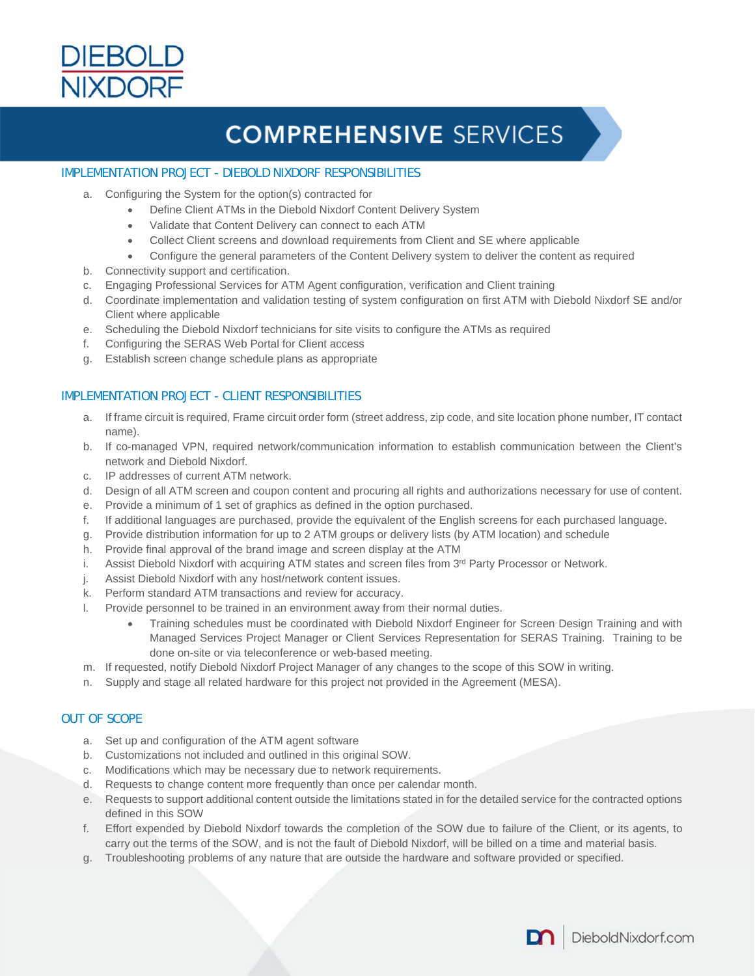

#### IMPLEMENTATION PROJECT - DIEBOLD NIXDORF RESPONSIBILITIES

- a. Configuring the System for the option(s) contracted for
	- Define Client ATMs in the Diebold Nixdorf Content Delivery System
	- Validate that Content Delivery can connect to each ATM
		- Collect Client screens and download requirements from Client and SE where applicable
	- Configure the general parameters of the Content Delivery system to deliver the content as required
- b. Connectivity support and certification.
- c. Engaging Professional Services for ATM Agent configuration, verification and Client training
- d. Coordinate implementation and validation testing of system configuration on first ATM with Diebold Nixdorf SE and/or Client where applicable
- e. Scheduling the Diebold Nixdorf technicians for site visits to configure the ATMs as required
- f. Configuring the SERAS Web Portal for Client access
- g. Establish screen change schedule plans as appropriate

### IMPLEMENTATION PROJECT - CLIENT RESPONSIBILITIES

- a. If frame circuit is required, Frame circuit order form (street address, zip code, and site location phone number, IT contact name).
- b. If co-managed VPN, required network/communication information to establish communication between the Client's network and Diebold Nixdorf.
- c. IP addresses of current ATM network.
- d. Design of all ATM screen and coupon content and procuring all rights and authorizations necessary for use of content.
- e. Provide a minimum of 1 set of graphics as defined in the option purchased.
- f. If additional languages are purchased, provide the equivalent of the English screens for each purchased language.
- g. Provide distribution information for up to 2 ATM groups or delivery lists (by ATM location) and schedule
- h. Provide final approval of the brand image and screen display at the ATM
- i. Assist Diebold Nixdorf with acquiring ATM states and screen files from 3<sup>rd</sup> Party Processor or Network.
- j. Assist Diebold Nixdorf with any host/network content issues.
- k. Perform standard ATM transactions and review for accuracy.
- l. Provide personnel to be trained in an environment away from their normal duties.
	- Training schedules must be coordinated with Diebold Nixdorf Engineer for Screen Design Training and with Managed Services Project Manager or Client Services Representation for SERAS Training. Training to be done on-site or via teleconference or web-based meeting.
- m. If requested, notify Diebold Nixdorf Project Manager of any changes to the scope of this SOW in writing.
- n. Supply and stage all related hardware for this project not provided in the Agreement (MESA).

### OUT OF SCOPE

- a. Set up and configuration of the ATM agent software
- b. Customizations not included and outlined in this original SOW.
- c. Modifications which may be necessary due to network requirements.
- d. Requests to change content more frequently than once per calendar month.
- e. Requests to support additional content outside the limitations stated in for the detailed service for the contracted options defined in this SOW
- f. Effort expended by Diebold Nixdorf towards the completion of the SOW due to failure of the Client, or its agents, to carry out the terms of the SOW, and is not the fault of Diebold Nixdorf, will be billed on a time and material basis.
- g. Troubleshooting problems of any nature that are outside the hardware and software provided or specified.